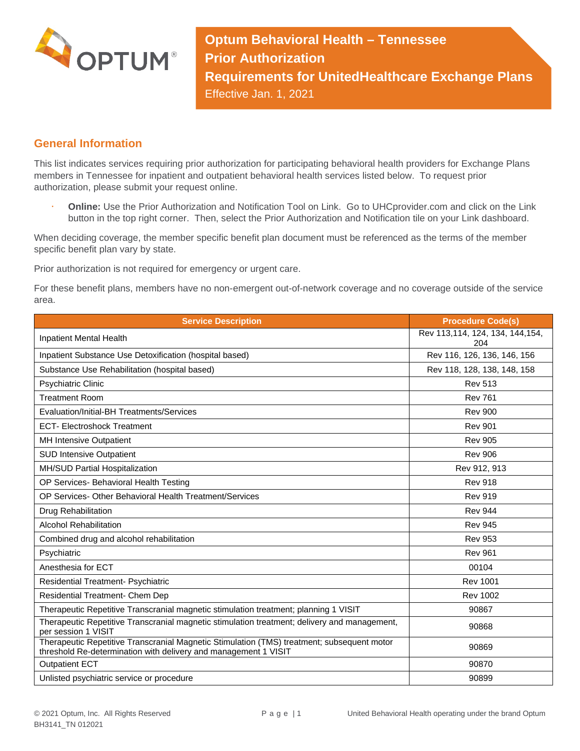

**Optum Behavioral Health – Tennessee Prior Authorization Requirements for UnitedHealthcare Exchange Plans** Effective Jan. 1, 2021

## **General Information**

This list indicates services requiring prior authorization for participating behavioral health providers for Exchange Plans members in Tennessee for inpatient and outpatient behavioral health services listed below. To request prior authorization, please submit your request online.

 **Online:** Use the Prior Authorization and Notification Tool on Link. Go to UHCprovider.com and click on the Link button in the top right corner. Then, select the Prior Authorization and Notification tile on your Link dashboard.

When deciding coverage, the member specific benefit plan document must be referenced as the terms of the member specific benefit plan vary by state.

Prior authorization is not required for emergency or urgent care.

For these benefit plans, members have no non-emergent out-of-network coverage and no coverage outside of the service area.

| <b>Service Description</b>                                                                                                                                    | <b>Procedure Code(s)</b>               |
|---------------------------------------------------------------------------------------------------------------------------------------------------------------|----------------------------------------|
| Inpatient Mental Health                                                                                                                                       | Rev 113,114, 124, 134, 144,154,<br>204 |
| Inpatient Substance Use Detoxification (hospital based)                                                                                                       | Rev 116, 126, 136, 146, 156            |
| Substance Use Rehabilitation (hospital based)                                                                                                                 | Rev 118, 128, 138, 148, 158            |
| Psychiatric Clinic                                                                                                                                            | <b>Rev 513</b>                         |
| <b>Treatment Room</b>                                                                                                                                         | <b>Rev 761</b>                         |
| Evaluation/Initial-BH Treatments/Services                                                                                                                     | <b>Rev 900</b>                         |
| <b>ECT- Electroshock Treatment</b>                                                                                                                            | <b>Rev 901</b>                         |
| MH Intensive Outpatient                                                                                                                                       | <b>Rev 905</b>                         |
| <b>SUD Intensive Outpatient</b>                                                                                                                               | <b>Rev 906</b>                         |
| MH/SUD Partial Hospitalization                                                                                                                                | Rev 912, 913                           |
| OP Services- Behavioral Health Testing                                                                                                                        | <b>Rev 918</b>                         |
| OP Services- Other Behavioral Health Treatment/Services                                                                                                       | <b>Rev 919</b>                         |
| Drug Rehabilitation                                                                                                                                           | <b>Rev 944</b>                         |
| <b>Alcohol Rehabilitation</b>                                                                                                                                 | <b>Rev 945</b>                         |
| Combined drug and alcohol rehabilitation                                                                                                                      | <b>Rev 953</b>                         |
| Psychiatric                                                                                                                                                   | <b>Rev 961</b>                         |
| Anesthesia for ECT                                                                                                                                            | 00104                                  |
| Residential Treatment- Psychiatric                                                                                                                            | <b>Rev 1001</b>                        |
| Residential Treatment- Chem Dep                                                                                                                               | <b>Rev 1002</b>                        |
| Therapeutic Repetitive Transcranial magnetic stimulation treatment; planning 1 VISIT                                                                          | 90867                                  |
| Therapeutic Repetitive Transcranial magnetic stimulation treatment; delivery and management,<br>per session 1 VISIT                                           | 90868                                  |
| Therapeutic Repetitive Transcranial Magnetic Stimulation (TMS) treatment; subsequent motor<br>threshold Re-determination with delivery and management 1 VISIT | 90869                                  |
| <b>Outpatient ECT</b>                                                                                                                                         | 90870                                  |
| Unlisted psychiatric service or procedure                                                                                                                     | 90899                                  |